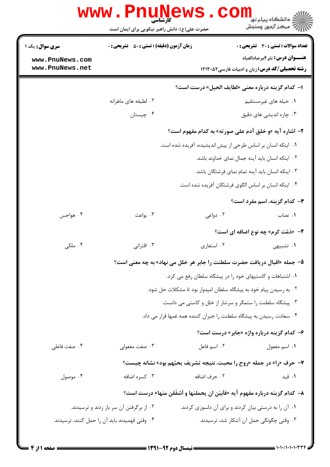|                                    | www.PnuNe                                                                   |                                                           |                                                                                                |  |
|------------------------------------|-----------------------------------------------------------------------------|-----------------------------------------------------------|------------------------------------------------------------------------------------------------|--|
|                                    | حضرت علی(ع): دانش راهبر نیکویی برای ایمان است                               |                                                           | د دانشگاه پيام نور<br>ا∛ مرکز آزمون وسنجش                                                      |  |
| <b>سری سوال :</b> یک ۱             | <b>زمان آزمون (دقیقه) : تستی : 50 ٪ تشریحی : 0</b>                          |                                                           | تعداد سوالات : تستي : 30 ٪ تشريحي : 0                                                          |  |
| www.PnuNews.com<br>www.PnuNews.net |                                                                             |                                                           | <b>عنـــوان درس:</b> نثر ۴مرصادالعباد<br><b>رشته تحصیلی/کد درس:</b> زبان و ادبیات فارسی1۲۱۳۰۵۲ |  |
|                                    |                                                                             |                                                           | ا- كدام گزينه درباره معنى «لطايف الحيل» درست است؟                                              |  |
|                                    | ۰۲ لطيفه هاي ماهرانه                                                        |                                                           | ۰۱ حیله های غیرمستقیم                                                                          |  |
|                                    | ۰۴ چیستان                                                                   |                                                           | ۰۳ چاره اندیشی های دقیق                                                                        |  |
|                                    |                                                                             |                                                           | ۲- اشاره آیه «و خلق آدم علی صورته» به کدام مفهوم است؟                                          |  |
|                                    |                                                                             |                                                           | ٠١. اينكه انسان بر اساس طرحى از پيش انديشيده، آفريده شده است.                                  |  |
|                                    |                                                                             |                                                           | ٠٢ اينكه انسان بايد آينه جمال نماي خداوند باشد.                                                |  |
|                                    |                                                                             |                                                           | ۰۳ اینکه انسان باید آینه تمام نمای فرشتگان باشد.                                               |  |
|                                    |                                                                             |                                                           | ۰۴ اینکه انسان بر اساس الگوی فرشتگان آفریده شده است.                                           |  |
|                                    |                                                                             |                                                           | <b>۳</b> - کدام گزینه، اسم مفرد است؟                                                           |  |
| ۰۴ هواجس                           | ۰۳ بواعث                                                                    | ۰۲ دواعي                                                  | ۰۱ نصاب                                                                                        |  |
|                                    |                                                                             |                                                           | ۴- «ذمّت کرم» چه نوع اضافه ای است؟                                                             |  |
| ۰۴ ملکی                            | ۰۳ اقترانی                                                                  | ۰۲ استعاري                                                | <b>۱.</b> تشبیهی                                                                               |  |
|                                    | ۵– جمله «اقبال دریافت حضرت سلطنت را جابر هر خلل می نهاد» به چه معنی است؟    |                                                           |                                                                                                |  |
|                                    |                                                                             | ۰۱ اشتباهات و کاستیهای خود را در پیشگاه سلطان رفع می کرد. |                                                                                                |  |
|                                    | ۲. به رسیدن پیام خود به پیشگاه سلطان امیدوار بود تا مشکلات حل شود.          |                                                           |                                                                                                |  |
|                                    |                                                                             |                                                           | ۰۳ پیشگاه سلطنت را ستمگر و سرشار از خلل و کاستی می دانست.                                      |  |
|                                    |                                                                             |                                                           | ۰۴ سعادت رسیدن به پیشگاه سلطنت را جبران کننده همه غمها قرار می داد.                            |  |
|                                    |                                                                             |                                                           | ۶- کدام گزینه درباره واژه «جابر» درست است؟                                                     |  |
| ۰۴ صفت فاعلی                       | ۰۳ صفت مغعولی                                                               | ٢. اسم فاعل                                               | ٠١. اسم مفعول                                                                                  |  |
|                                    | ۷- حرف «را» در جمله «روح را محبت، نتیجه تشریف یحبّهم بود» نشانه چیست؟       |                                                           |                                                                                                |  |
| ۰۴ موصول                           | ۰۳ کسره اضافه                                                               | ۰۲ حرف اضافه                                              | ۰۱ قید                                                                                         |  |
|                                    | ٨–  كدام گزينه درباره مفهوم آيه «فأبيَن ان يحملنها و أشفّقن منها» درست است؟ |                                                           |                                                                                                |  |
|                                    | ۰۲ از برگرفتن آن سر باز زدند و ترسیدند.                                     | ۰۱ آن را به درستی بیان کردند و برای آن دلسوزی کردند.      |                                                                                                |  |
|                                    | ۰۴ وقتی فهمیدند باید آن را حمل کنند، ترسیدند.                               |                                                           | ۰۳ وقتی چگونگی حمل آن آشکار شد، ترسیدند.                                                       |  |
|                                    |                                                                             |                                                           |                                                                                                |  |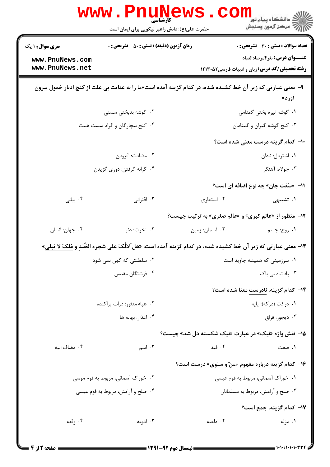|                                    | www . Pni<br><b>کارشناسی</b><br>حضرت علی(ع): دانش راهبر نیکویی برای ایمان است                                           |                             | ڪ دانشڪاه پيا <sub>م</sub> نور<br>۾ مرڪز آزمون وسنڊش         |
|------------------------------------|-------------------------------------------------------------------------------------------------------------------------|-----------------------------|--------------------------------------------------------------|
| <b>سری سوال : ۱ یک</b>             | <b>زمان آزمون (دقیقه) : تستی : 50 ٪ تشریحی : 0</b>                                                                      |                             | <b>تعداد سوالات : تستي : 30 ٪ تشريحي : 0</b>                 |
| www.PnuNews.com                    |                                                                                                                         |                             | <b>عنـــوان درس:</b> نثر ۴مرصادالعباد                        |
| www.PnuNews.net                    |                                                                                                                         |                             | <b>رشته تحصیلی/کد درس:</b> زبان و ادبیات فارسی2۲۱۳۰۵۲        |
|                                    | ۹- معنی عبارتی که زیر آن خط کشیده شده، در کدام گزینه آمده است«ما را به عنایت بی علت از کنج ادبار خمول بیرون             |                             | آورد»                                                        |
|                                    | ۲. گوشه بدبختی سستی                                                                                                     |                             | ۰۱ گوشه تیره بختی گمنامی                                     |
|                                    | ۰۴ کنج بیچارگان و افراد سست همت                                                                                         | ۰۳ کنج گوشه گیران و گمنامان |                                                              |
|                                    |                                                                                                                         |                             | ۱۰– کدام گزینه درست معنی شده است؟                            |
|                                    | ۰۲ مضادت: افزودن                                                                                                        |                             | ۰۱ اشتردل: نادان                                             |
|                                    | ۰۴ كرانه گرفتن: دوري گزيدن                                                                                              |                             | ۰۳ جولاه: آهنگر                                              |
|                                    |                                                                                                                         |                             |                                                              |
|                                    |                                                                                                                         |                             | 11- «سُفت جان» چه نوع اضافه ای است؟                          |
| ۰۴ بيانى                           | ۰۳ اقترانی                                                                                                              | ۰۲ استعاری                  | ۰۱ تشبیهی                                                    |
|                                    |                                                                                                                         |                             | <b>۱۲- منظور از «عالم کبری» و «عالم صغری» به ترتیب چیست؟</b> |
| ۰۴ جهان؛ انسان                     | ۰۳ آخرت؛ دنیا                                                                                                           | ۰۲ آسمان؛ زمین              | ۰۱ روح؛ جسم                                                  |
|                                    | ۱۳- معنی عبارتی که زیر آن خط کشیده شده، در کدام گزینه آمده است: «هل اَدُلّکَ علی شجره الخُلدِ و <u>مُلکٌ لا یَبلی</u> » |                             |                                                              |
|                                    | ۰۲ سلطنتی که کهن نمی شود.                                                                                               |                             | ۰۱ سرزمینی که همیشه جاوید است.                               |
|                                    | ۰۴ فرشتگان مقدس                                                                                                         | ۰۳ یادشاه بی باک            |                                                              |
|                                    |                                                                                                                         |                             | ۱۴– کدام گزینه، نادرست معنا شده است؟                         |
|                                    | ۰۲ هباء منثور: ذرات پراکنده                                                                                             | ۰۱ درکت (درکه): پایه        |                                                              |
|                                    | ۰۴ اعذار: بهانه ها                                                                                                      | ۰۳ ديجور: فراق              |                                                              |
|                                    |                                                                                                                         |                             | ۱۵- نقش واژه «نیک» در عبارت «نیک شکسته دل شد» چیست؟          |
| ۰۴ مضاف اليه                       | ۰۳ اسم                                                                                                                  | ۰۲ قید                      | ۰۱ صفت                                                       |
|                                    |                                                                                                                         |                             |                                                              |
|                                    |                                                                                                                         |                             | ۱۶- کدام گزینه درباره مفهوم «منّ و سلوی» درست است؟           |
| ۰۲ خوراک آسمانی، مربوط به قوم موسی |                                                                                                                         |                             | ۰۱ خوراک آسمانی، مربوط به قوم عیسی                           |
|                                    | ۰۴ صلح و آرامش، مربوط به قوم عیسی                                                                                       |                             | ۰۳ صلح و آرامش، مربوط به مسلمانان                            |
|                                    |                                                                                                                         |                             | ١٧- كدام گزينه، جمع است؟                                     |
| ۰۴ وقفه                            | ۰۳ ادویه                                                                                                                | ۰۲ داعیه                    | ۰۱ مزله                                                      |
|                                    |                                                                                                                         |                             |                                                              |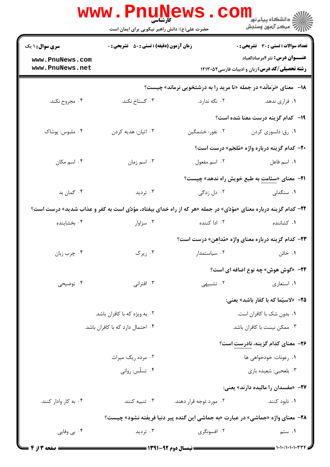|                                    | <b>WWW.PNUNEWS</b><br>کارشناسی                     |                                                                                                                        | راه دانشگاه پيام نور <mark>− .</mark><br>ا <b>ر</b> درکز آزمون وسنجش                           |
|------------------------------------|----------------------------------------------------|------------------------------------------------------------------------------------------------------------------------|------------------------------------------------------------------------------------------------|
|                                    | حضرت علی(ع): دانش راهبر نیکویی برای ایمان است      |                                                                                                                        |                                                                                                |
| <b>سری سوال : ۱ یک</b>             | <b>زمان آزمون (دقیقه) : تستی : 50 ٪ تشریحی : 0</b> |                                                                                                                        | <b>تعداد سوالات : تستی : 30 ٪ تشریحی : 0</b>                                                   |
| www.PnuNews.com<br>www.PnuNews.net |                                                    |                                                                                                                        | <b>عنـــوان درس:</b> نثر ۴مرصادالعباد<br><b>رشته تحصیلی/کد درس:</b> زبان و ادبیات فارسی2۲۱۳۰۵۲ |
|                                    |                                                    | ۱۸- معنای «نرَمانَد» در جمله «تا مرید را به درشتخویی نرماند» چیست؟                                                     |                                                                                                |
| ۰۴ مجروح نكند.                     | ۰۳ گستاخ نکند.                                     | ۰۲ نگه ندارد.                                                                                                          | ۰۱ فراری ندهد.                                                                                 |
|                                    |                                                    |                                                                                                                        |                                                                                                |
|                                    |                                                    |                                                                                                                        | <b>۱۹</b> - کدام گزینه درست معنا شده است؟                                                      |
| ۰۴ ملبوس: پوشاک                    | ۰۳ اتيان: هديه كردن                                | ۰۲ نفور: خشمگین                                                                                                        | ۰۱ رق: دلسوزی کردن                                                                             |
|                                    |                                                    |                                                                                                                        | <b>۲۰</b> - کدام گزینه درباره واژه «مُلجَم» درست است؟                                          |
| ۰۴ اسم مکان                        | ۰۳ اسم زمان                                        | ۰۲ اسم مفعول                                                                                                           | ٠١. اسم فاعل                                                                                   |
|                                    |                                                    |                                                                                                                        | <b>٢١</b> - معنای «سئامت به طبع خویش راه ندهد» چیست؟                                           |
| ۰۴ گمان بد                         | ۰۳ تردید                                           | ۰۲ دل زدگی                                                                                                             | ۰۱ سنگدلی                                                                                      |
|                                    |                                                    | <b>۲۲</b> – کدام گزینه درباره معنای «مؤدّی» در جمله «هر که از راه خدای بیفتاد، مؤدّی است به کفر و عذاب شدید» درست است؟ |                                                                                                |
| ۰۴ بخشاینده                        | ۰۳ سزاوار                                          | ۰۲ ادا کننده                                                                                                           | ۰۱ کشاننده                                                                                     |
|                                    |                                                    | <b>۲۳</b> – کدام گزینه درباره معنای واژه «مُداِهن» درست است؟                                                           |                                                                                                |
| ۰۴ چرب زبان                        | ۰۳ زیرک                                            |                                                                                                                        | ۰۱ خائن میسیاستمدار (۰۲                                                                        |
|                                    |                                                    |                                                                                                                        | <b>۲۴</b> - «گوش هوش» چه نوع اضافه ای است؟                                                     |
| ۰۴ توضیحی                          | ۰۳ اقترانی                                         | ۰۲ تشبیهی                                                                                                              | ۰۱ استعاري                                                                                     |
|                                    |                                                    |                                                                                                                        | ۲۵– «لاسیّما که با کفار باشد» یعنی:                                                            |
| ۰۲ به ویژه که با کافران باشد.      |                                                    |                                                                                                                        | ۰۱ بدون شک با کافران است.                                                                      |
|                                    | ۰۴ احتمال دارد که با کافران باشد.                  | ۰۳ ممکن نیست با کافران باشد.                                                                                           |                                                                                                |
|                                    |                                                    |                                                                                                                        | ۲۶- معنای کدام گزینه، نادرست است؟                                                              |
|                                    | ۰۲ مرده ريگ: ميراث                                 |                                                                                                                        | ۰۱ رعونات: خودخواهي ها                                                                         |
|                                    | ۰۴ تسلّس: رواني                                    |                                                                                                                        | ۰۳ بلعحبي: شعبده بازي                                                                          |
|                                    |                                                    |                                                                                                                        | <b>۲۷</b> - «مفسدان را مالیده دارند» یعنی:                                                     |
| ۰۴ به کار وادار کنند.              | ۰۳ تنبیه کنند.                                     | ۰۲ مورد توجه قرار دهند.                                                                                                | ۰۱ نابود کنند.                                                                                 |
|                                    |                                                    | <b>۲۸</b> - معنای واژه «جماشی» در عبارت «به جماشی این گنده پیر دنیا فریفته نشود» چیست؟                                 |                                                                                                |
| ۰۴ بی وفایی                        | ۰۳ تردید                                           | ۰۲ افسونگری                                                                                                            | ۰۱ ستم                                                                                         |
| <b>E SEM ANGLO</b>                 |                                                    | $=$ 1791-97 and thus i $=$                                                                                             | 1.1.11.1.1.1.777                                                                               |